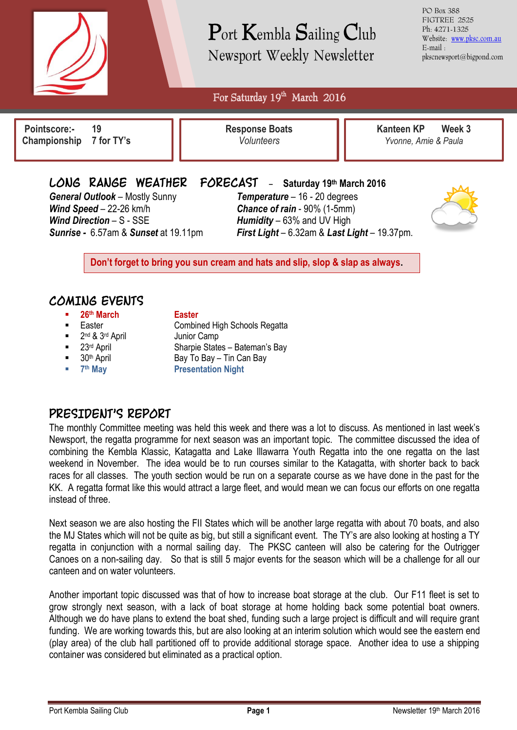

# Port Kembla Sailing Club Newsport Weekly Newsletter

PO Box 388 FIGTREE 2525 Ph: 4271-1325 Website: [www.pksc.com.au](http://www.pksc.com.au/) E-mail : pkscnewsport@bigpond.com

For Saturday 19<sup>th</sup> March 2016

**Pointscore:- 19 Championship 7 for TY's**

 $\overline{a}$ 

**Response Boats** *Volunteers*

**Kanteen KP Week 3** *Yvonne, Amie & Paula*

*General Outlook* – Mostly Sunny *Temperature* – 16 - 20 degrees *Wind Speed* – 22-26 km/h *Chance of rain* - 90% (1-5mm) *Wind Direction* – S - SSE *Humidity* – 63% and UV High

## **LONG RANGE WEATHER FORECAST** - **Saturday 19th March <sup>2016</sup>**

*Sunrise -* 6.57am & *Sunset* at 19.11pm *First Light* – 6.32am & *Last Light* – 19.37pm.



**Don't forget to bring you sun cream and hats and slip, slop & slap as always.**

## **COMING EVENTS**

- **26th March Easter**
- 
- 2<sup>nd</sup> & 3<sup>rd</sup> April 500 Junior Camp
- 
- 
- $= 7<sup>th</sup>$  May

- **Easter Combined High Schools Regatta** 
	-
- 23<sup>rd</sup> April Sharpie States Bateman's Bay
- $\blacksquare$  30<sup>th</sup> April Bay To Bay Tin Can Bay
	- **Presentation Night**

## **PRESIDENT'S REPORT**

The monthly Committee meeting was held this week and there was a lot to discuss. As mentioned in last week's Newsport, the regatta programme for next season was an important topic. The committee discussed the idea of combining the Kembla Klassic, Katagatta and Lake Illawarra Youth Regatta into the one regatta on the last weekend in November. The idea would be to run courses similar to the Katagatta, with shorter back to back races for all classes. The youth section would be run on a separate course as we have done in the past for the KK. A regatta format like this would attract a large fleet, and would mean we can focus our efforts on one regatta instead of three.

Next season we are also hosting the FII States which will be another large regatta with about 70 boats, and also the MJ States which will not be quite as big, but still a significant event. The TY's are also looking at hosting a TY regatta in conjunction with a normal sailing day. The PKSC canteen will also be catering for the Outrigger Canoes on a non-sailing day. So that is still 5 major events for the season which will be a challenge for all our canteen and on water volunteers.

Another important topic discussed was that of how to increase boat storage at the club. Our F11 fleet is set to grow strongly next season, with a lack of boat storage at home holding back some potential boat owners. Although we do have plans to extend the boat shed, funding such a large project is difficult and will require grant funding. We are working towards this, but are also looking at an interim solution which would see the eastern end (play area) of the club hall partitioned off to provide additional storage space. Another idea to use a shipping container was considered but eliminated as a practical option.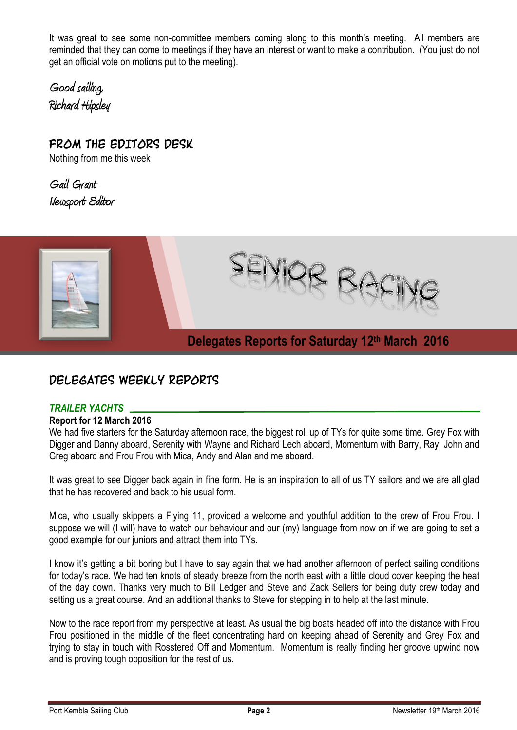It was great to see some non-committee members coming along to this month's meeting. All members are reminded that they can come to meetings if they have an interest or want to make a contribution. (You just do not get an official vote on motions put to the meeting).

**Good sailing, Richard Hipsley**

**FROM THE EDITORS DESK** Nothing from me this week

**Gail Grant Newsport Editor**



## **DELEGATES WEEKLY REPORTS**

### *TRAILER YACHTS*

#### **Report for 12 March 2016**

We had five starters for the Saturday afternoon race, the biggest roll up of TYs for quite some time. Grey Fox with Digger and Danny aboard, Serenity with Wayne and Richard Lech aboard, Momentum with Barry, Ray, John and Greg aboard and Frou Frou with Mica, Andy and Alan and me aboard.

It was great to see Digger back again in fine form. He is an inspiration to all of us TY sailors and we are all glad that he has recovered and back to his usual form.

Mica, who usually skippers a Flying 11, provided a welcome and youthful addition to the crew of Frou Frou. I suppose we will (I will) have to watch our behaviour and our (my) language from now on if we are going to set a good example for our juniors and attract them into TYs.

I know it's getting a bit boring but I have to say again that we had another afternoon of perfect sailing conditions for today's race. We had ten knots of steady breeze from the north east with a little cloud cover keeping the heat of the day down. Thanks very much to Bill Ledger and Steve and Zack Sellers for being duty crew today and setting us a great course. And an additional thanks to Steve for stepping in to help at the last minute.

Now to the race report from my perspective at least. As usual the big boats headed off into the distance with Frou Frou positioned in the middle of the fleet concentrating hard on keeping ahead of Serenity and Grey Fox and trying to stay in touch with Rosstered Off and Momentum. Momentum is really finding her groove upwind now and is proving tough opposition for the rest of us.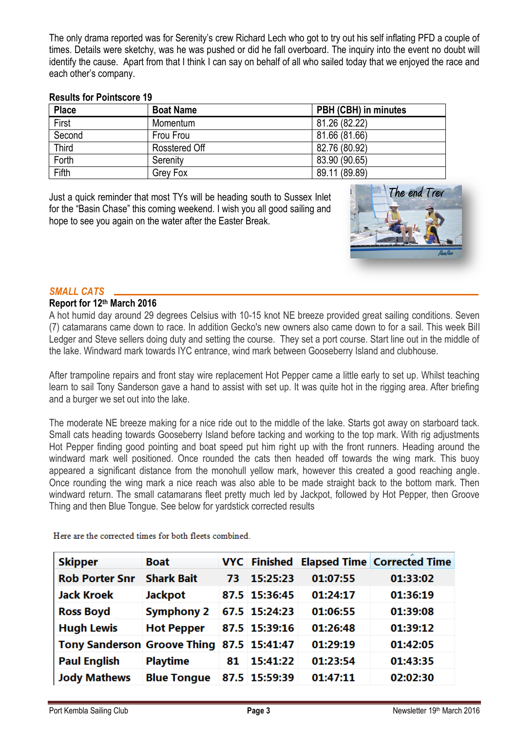The only drama reported was for Serenity's crew Richard Lech who got to try out his self inflating PFD a couple of times. Details were sketchy, was he was pushed or did he fall overboard. The inquiry into the event no doubt will identify the cause. Apart from that I think I can say on behalf of all who sailed today that we enjoyed the race and each other's company.

#### **Results for Pointscore 19**

| <b>Place</b> | <b>Boat Name</b> | PBH (CBH) in minutes |
|--------------|------------------|----------------------|
| First        | Momentum         | 81.26 (82.22)        |
| Second       | Frou Frou        | 81.66 (81.66)        |
| <b>Third</b> | Rosstered Off    | 82.76 (80.92)        |
| Forth        | Serenity         | 83.90 (90.65)        |
| Fifth        | Grey Fox         | 89.11 (89.89)        |

Just a quick reminder that most TYs will be heading south to Sussex Inlet for the "Basin Chase" this coming weekend. I wish you all good sailing and hope to see you again on the water after the Easter Break.



#### *SMALL CATS*

#### **Report for 12th March 2016**

A hot humid day around 29 degrees Celsius with 10-15 knot NE breeze provided great sailing conditions. Seven (7) catamarans came down to race. In addition Gecko's new owners also came down to for a sail. This week Bill Ledger and Steve sellers doing duty and setting the course. They set a port course. Start line out in the middle of the lake. Windward mark towards IYC entrance, wind mark between Gooseberry Island and clubhouse.

After trampoline repairs and front stay wire replacement Hot Pepper came a little early to set up. Whilst teaching learn to sail Tony Sanderson gave a hand to assist with set up. It was quite hot in the rigging area. After briefing and a burger we set out into the lake.

The moderate NE breeze making for a nice ride out to the middle of the lake. Starts got away on starboard tack. Small cats heading towards Gooseberry Island before tacking and working to the top mark. With rig adjustments Hot Pepper finding good pointing and boat speed put him right up with the front runners. Heading around the windward mark well positioned. Once rounded the cats then headed off towards the wing mark. This buoy appeared a significant distance from the monohull yellow mark, however this created a good reaching angle. Once rounding the wing mark a nice reach was also able to be made straight back to the bottom mark. Then windward return. The small catamarans fleet pretty much led by Jackpot, followed by Hot Pepper, then Groove Thing and then Blue Tongue. See below for yardstick corrected results

Here are the corrected times for both fleets combined.

| <b>Skipper</b>                     | <b>Boat</b>        |    |               |          | VYC Finished Elapsed Time Corrected Time |
|------------------------------------|--------------------|----|---------------|----------|------------------------------------------|
| <b>Rob Porter Snr</b>              | <b>Shark Bait</b>  | 73 | 15:25:23      | 01:07:55 | 01:33:02                                 |
| <b>Jack Kroek</b>                  | <b>Jackpot</b>     |    | 87.5 15:36:45 | 01:24:17 | 01:36:19                                 |
| <b>Ross Boyd</b>                   | <b>Symphony 2</b>  |    | 67.5 15:24:23 | 01:06:55 | 01:39:08                                 |
| <b>Hugh Lewis</b>                  | <b>Hot Pepper</b>  |    | 87.5 15:39:16 | 01:26:48 | 01:39:12                                 |
| <b>Tony Sanderson Groove Thing</b> |                    |    | 87.5 15:41:47 | 01:29:19 | 01:42:05                                 |
| <b>Paul English</b>                | <b>Playtime</b>    | 81 | 15:41:22      | 01:23:54 | 01:43:35                                 |
| <b>Jody Mathews</b>                | <b>Blue Tongue</b> |    | 87.5 15:59:39 | 01:47:11 | 02:02:30                                 |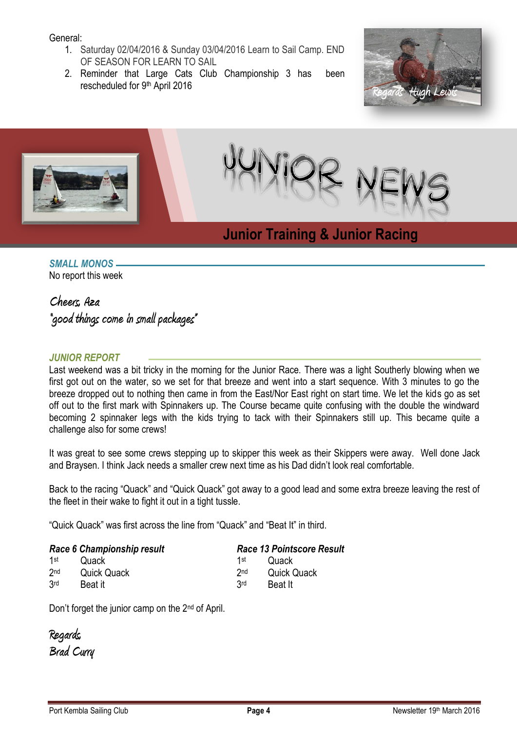#### General:

- 1. Saturday 02/04/2016 & Sunday 03/04/2016 Learn to Sail Camp. END OF SEASON FOR LEARN TO SAIL
- 2. Reminder that Large Cats Club Championship 3 has been rescheduled for 9th April 2016





**Racing**

## *SMALL MONOS*

No report this week

## **Cheers, Aza**

**"good things come in small packages"**

### *JUNIOR REPORT*

Last weekend was a bit tricky in the morning for the Junior Race. There was a light Southerly blowing when we first got out on the water, so we set for that breeze and went into a start sequence. With 3 minutes to go the breeze dropped out to nothing then came in from the East/Nor East right on start time. We let the kids go as set off out to the first mark with Spinnakers up. The Course became quite confusing with the double the windward becoming 2 spinnaker legs with the kids trying to tack with their Spinnakers still up. This became quite a challenge also for some crews!

It was great to see some crews stepping up to skipper this week as their Skippers were away. Well done Jack and Braysen. I think Jack needs a smaller crew next time as his Dad didn't look real comfortable.

Back to the racing "Quack" and "Quick Quack" got away to a good lead and some extra breeze leaving the rest of the fleet in their wake to fight it out in a tight tussle.

"Quick Quack" was first across the line from "Quack" and "Beat It" in third.

|                 | Race 6 Championship result | <b>Race 13 Pointscore Result</b> |             |  |
|-----------------|----------------------------|----------------------------------|-------------|--|
| 1st             | Quack                      | 1st                              | Quack       |  |
| 2 <sub>nd</sub> | <b>Quick Quack</b>         | 2 <sub>nd</sub>                  | Quick Quack |  |
| 3 <sub>rd</sub> | Beat it                    | <b>3rd</b>                       | Beat It     |  |

Don't forget the junior camp on the 2nd of April.

**Regards, Brad Curry**